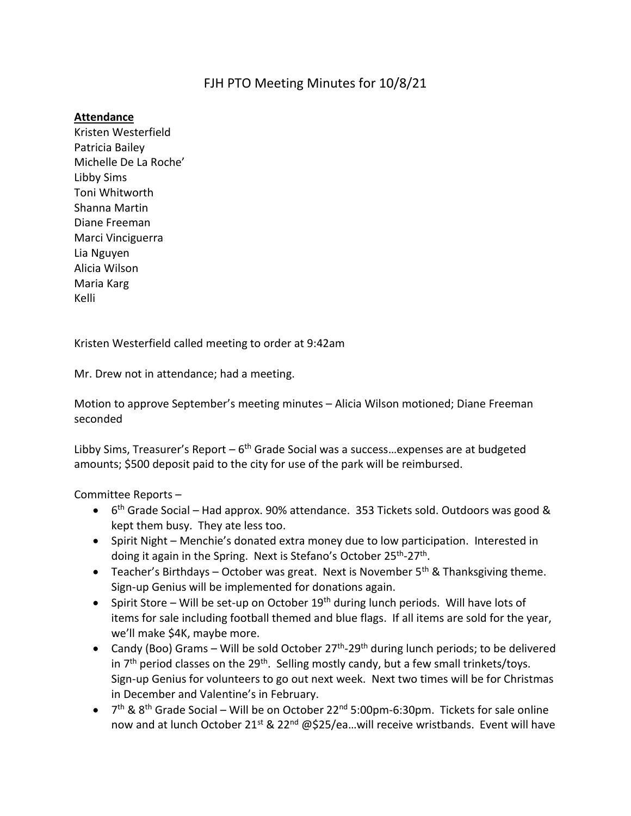## FJH PTO Meeting Minutes for 10/8/21

## **Attendance**

Kristen Westerfield Patricia Bailey Michelle De La Roche' Libby Sims Toni Whitworth Shanna Martin Diane Freeman Marci Vinciguerra Lia Nguyen Alicia Wilson Maria Karg Kelli

Kristen Westerfield called meeting to order at 9:42am

Mr. Drew not in attendance; had a meeting.

Motion to approve September's meeting minutes – Alicia Wilson motioned; Diane Freeman seconded

Libby Sims, Treasurer's Report – 6<sup>th</sup> Grade Social was a success...expenses are at budgeted amounts; \$500 deposit paid to the city for use of the park will be reimbursed.

Committee Reports –

- 6<sup>th</sup> Grade Social Had approx. 90% attendance. 353 Tickets sold. Outdoors was good & kept them busy. They ate less too.
- Spirit Night Menchie's donated extra money due to low participation. Interested in doing it again in the Spring. Next is Stefano's October 25<sup>th</sup>-27<sup>th</sup>.
- **•** Teacher's Birthdays October was great. Next is November  $5<sup>th</sup>$  & Thanksgiving theme. Sign-up Genius will be implemented for donations again.
- Spirit Store Will be set-up on October  $19<sup>th</sup>$  during lunch periods. Will have lots of items for sale including football themed and blue flags. If all items are sold for the year, we'll make \$4K, maybe more.
- Candy (Boo) Grams Will be sold October 27<sup>th</sup>-29<sup>th</sup> during lunch periods; to be delivered in  $7<sup>th</sup>$  period classes on the 29<sup>th</sup>. Selling mostly candy, but a few small trinkets/toys. Sign-up Genius for volunteers to go out next week. Next two times will be for Christmas in December and Valentine's in February.
- $\bullet$  7<sup>th</sup> & 8<sup>th</sup> Grade Social Will be on October 22<sup>nd</sup> 5:00pm-6:30pm. Tickets for sale online now and at lunch October 21<sup>st</sup> & 22<sup>nd</sup> @\$25/ea...will receive wristbands. Event will have